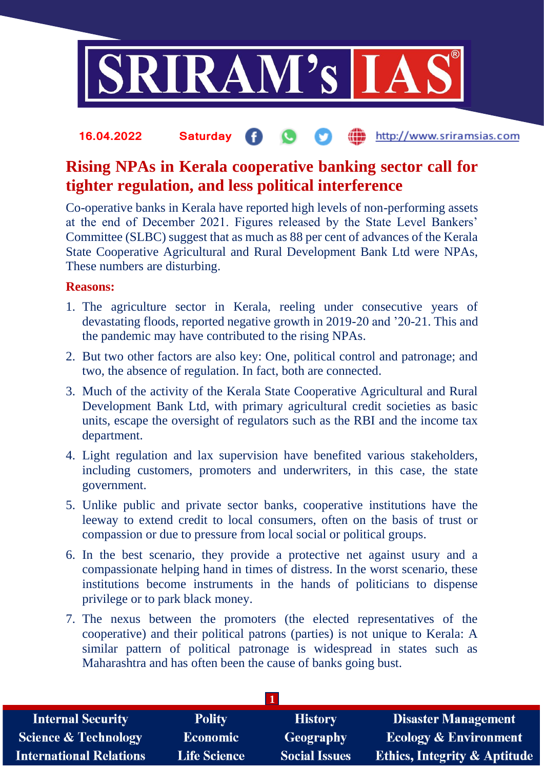

## the http://www.sriramsias.com **16.04.2022 Saturday**

## **Rising NPAs in Kerala cooperative banking sector call for tighter regulation, and less political interference**

Co-operative banks in Kerala have reported high levels of non-performing assets at the end of December 2021. Figures released by the State Level Bankers' Committee (SLBC) suggest that as much as 88 per cent of advances of the Kerala State Cooperative Agricultural and Rural Development Bank Ltd were NPAs, These numbers are disturbing.

## **Reasons:**

- 1. The agriculture sector in Kerala, reeling under consecutive years of devastating floods, reported negative growth in 2019-20 and '20-21. This and the pandemic may have contributed to the rising NPAs.
- 2. But two other factors are also key: One, political control and patronage; and two, the absence of regulation. In fact, both are connected.
- 3. Much of the activity of the Kerala State Cooperative Agricultural and Rural Development Bank Ltd, with primary agricultural credit societies as basic units, escape the oversight of regulators such as the RBI and the income tax department.
- 4. Light regulation and lax supervision have benefited various stakeholders, including customers, promoters and underwriters, in this case, the state government.
- 5. Unlike public and private sector banks, cooperative institutions have the leeway to extend credit to local consumers, often on the basis of trust or compassion or due to pressure from local social or political groups.
- 6. In the best scenario, they provide a protective net against usury and a compassionate helping hand in times of distress. In the worst scenario, these institutions become instruments in the hands of politicians to dispense privilege or to park black money.
- 7. The nexus between the promoters (the elected representatives of the cooperative) and their political patrons (parties) is not unique to Kerala: A similar pattern of political patronage is widespread in states such as Maharashtra and has often been the cause of banks going bust.

| <b>Internal Security</b>        | <b>Polity</b>       | <b>History</b>       | <b>Disaster Management</b>              |  |  |
|---------------------------------|---------------------|----------------------|-----------------------------------------|--|--|
| <b>Science &amp; Technology</b> | <b>Economic</b>     | Geography            | <b>Ecology &amp; Environment</b>        |  |  |
| <b>International Relations</b>  | <b>Life Science</b> | <b>Social Issues</b> | <b>Ethics, Integrity &amp; Aptitude</b> |  |  |